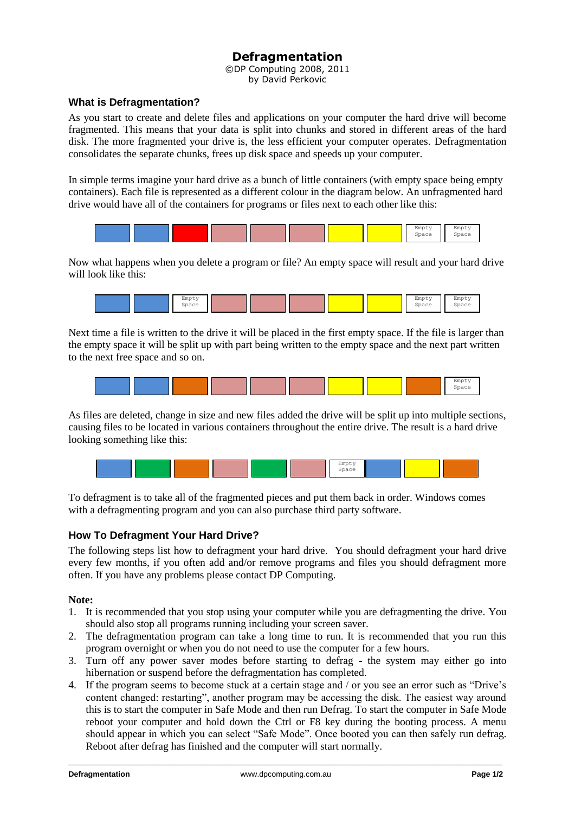# **Defragmentation**

©DP Computing 2008, 2011 by David Perkovic

# **What is Defragmentation?**

As you start to create and delete files and applications on your computer the hard drive will become fragmented. This means that your data is split into chunks and stored in different areas of the hard disk. The more fragmented your drive is, the less efficient your computer operates. Defragmentation consolidates the separate chunks, frees up disk space and speeds up your computer.

In simple terms imagine your hard drive as a bunch of little containers (with empty space being empty containers). Each file is represented as a different colour in the diagram below. An unfragmented hard drive would have all of the containers for programs or files next to each other like this:



Now what happens when you delete a program or file? An empty space will result and your hard drive will look like this:



Next time a file is written to the drive it will be placed in the first empty space. If the file is larger than the empty space it will be split up with part being written to the empty space and the next part written to the next free space and so on.



As files are deleted, change in size and new files added the drive will be split up into multiple sections, causing files to be located in various containers throughout the entire drive. The result is a hard drive looking something like this:



To defragment is to take all of the fragmented pieces and put them back in order. Windows comes with a defragmenting program and you can also purchase third party software.

# **How To Defragment Your Hard Drive?**

The following steps list how to defragment your hard drive. You should defragment your hard drive every few months, if you often add and/or remove programs and files you should defragment more often. If you have any problems please contact DP Computing.

### **Note:**

- 1. It is recommended that you stop using your computer while you are defragmenting the drive. You should also stop all programs running including your screen saver.
- 2. The defragmentation program can take a long time to run. It is recommended that you run this program overnight or when you do not need to use the computer for a few hours.
- 3. Turn off any power saver modes before starting to defrag the system may either go into hibernation or suspend before the defragmentation has completed.
- 4. If the program seems to become stuck at a certain stage and / or you see an error such as "Drive's content changed: restarting", another program may be accessing the disk. The easiest way around this is to start the computer in Safe Mode and then run Defrag. To start the computer in Safe Mode reboot your computer and hold down the Ctrl or F8 key during the booting process. A menu should appear in which you can select "Safe Mode". Once booted you can then safely run defrag. Reboot after defrag has finished and the computer will start normally.